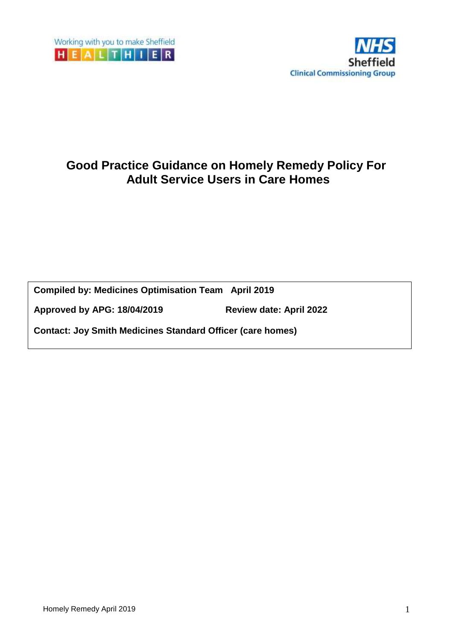

# **Good Practice Guidance on Homely Remedy Policy For Adult Service Users in Care Homes**

**Compiled by: Medicines Optimisation Team April 2019** 

**Approved by APG: 18/04/2019 Review date: April 2022**

**Contact: Joy Smith Medicines Standard Officer (care homes)**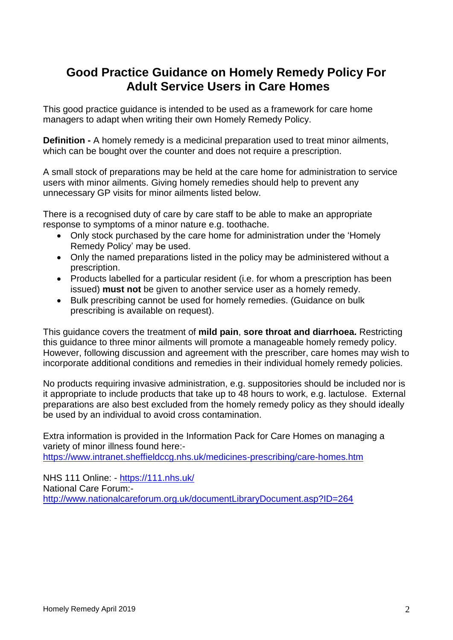# **Good Practice Guidance on Homely Remedy Policy For Adult Service Users in Care Homes**

This good practice guidance is intended to be used as a framework for care home managers to adapt when writing their own Homely Remedy Policy.

**Definition -** A homely remedy is a medicinal preparation used to treat minor ailments, which can be bought over the counter and does not require a prescription.

A small stock of preparations may be held at the care home for administration to service users with minor ailments. Giving homely remedies should help to prevent any unnecessary GP visits for minor ailments listed below.

There is a recognised duty of care by care staff to be able to make an appropriate response to symptoms of a minor nature e.g. toothache.

- Only stock purchased by the care home for administration under the 'Homely Remedy Policy' may be used.
- Only the named preparations listed in the policy may be administered without a prescription.
- Products labelled for a particular resident (i.e. for whom a prescription has been issued) **must not** be given to another service user as a homely remedy.
- Bulk prescribing cannot be used for homely remedies. (Guidance on bulk prescribing is available on request).

This guidance covers the treatment of **mild pain**, **sore throat and diarrhoea.** Restricting this guidance to three minor ailments will promote a manageable homely remedy policy. However, following discussion and agreement with the prescriber, care homes may wish to incorporate additional conditions and remedies in their individual homely remedy policies.

No products requiring invasive administration, e.g. suppositories should be included nor is it appropriate to include products that take up to 48 hours to work, e.g. lactulose. External preparations are also best excluded from the homely remedy policy as they should ideally be used by an individual to avoid cross contamination.

Extra information is provided in the Information Pack for Care Homes on managing a variety of minor illness found here: <https://www.intranet.sheffieldccg.nhs.uk/medicines-prescribing/care-homes.htm>

NHS 111 Online: - <https://111.nhs.uk/> National Care Forum: <http://www.nationalcareforum.org.uk/documentLibraryDocument.asp?ID=264>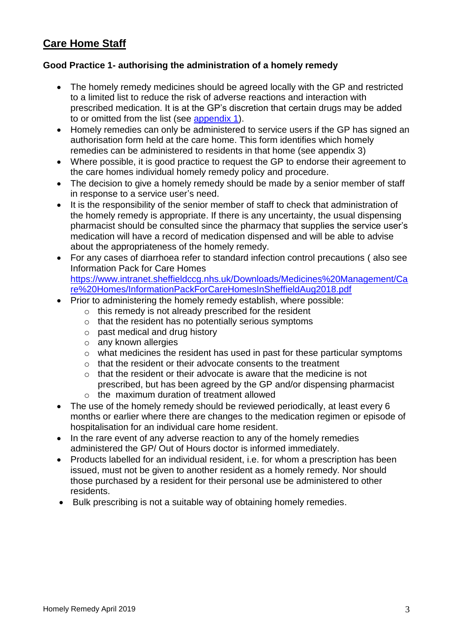# **Care Home Staff**

## **Good Practice 1- authorising the administration of a homely remedy**

- The homely remedy medicines should be agreed locally with the GP and restricted to a limited list to reduce the risk of adverse reactions and interaction with prescribed medication. It is at the GP's discretion that certain drugs may be added to or omitted from the list (see [appendix 1\)](#page-5-0).
- Homely remedies can only be administered to service users if the GP has signed an authorisation form held at the care home. This form identifies which homely remedies can be administered to residents in that home (see appendix 3)
- Where possible, it is good practice to request the GP to endorse their agreement to the care homes individual homely remedy policy and procedure.
- The decision to give a homely remedy should be made by a senior member of staff in response to a service user's need.
- It is the responsibility of the senior member of staff to check that administration of the homely remedy is appropriate. If there is any uncertainty, the usual dispensing pharmacist should be consulted since the pharmacy that supplies the service user's medication will have a record of medication dispensed and will be able to advise about the appropriateness of the homely remedy.
- For any cases of diarrhoea refer to standard infection control precautions ( also see Information Pack for Care Homes [https://www.intranet.sheffieldccg.nhs.uk/Downloads/Medicines%20Management/Ca](https://www.intranet.sheffieldccg.nhs.uk/Downloads/Medicines%20Management/Care%20Homes/InformationPackForCareHomesInSheffieldAug2018.pdf) [re%20Homes/InformationPackForCareHomesInSheffieldAug2018.pdf](https://www.intranet.sheffieldccg.nhs.uk/Downloads/Medicines%20Management/Care%20Homes/InformationPackForCareHomesInSheffieldAug2018.pdf)
- Prior to administering the homely remedy establish, where possible:
	- o this remedy is not already prescribed for the resident
	- o that the resident has no potentially serious symptoms
	- o past medical and drug history
	- o any known allergies
	- o what medicines the resident has used in past for these particular symptoms
	- o that the resident or their advocate consents to the treatment
	- o that the resident or their advocate is aware that the medicine is not prescribed, but has been agreed by the GP and/or dispensing pharmacist
	- $\circ$  the maximum duration of treatment allowed
- The use of the homely remedy should be reviewed periodically, at least every 6 months or earlier where there are changes to the medication regimen or episode of hospitalisation for an individual care home resident.
- In the rare event of any adverse reaction to any of the homely remedies administered the GP/ Out of Hours doctor is informed immediately.
- Products labelled for an individual resident, i.e. for whom a prescription has been issued, must not be given to another resident as a homely remedy. Nor should those purchased by a resident for their personal use be administered to other residents.
- Bulk prescribing is not a suitable way of obtaining homely remedies.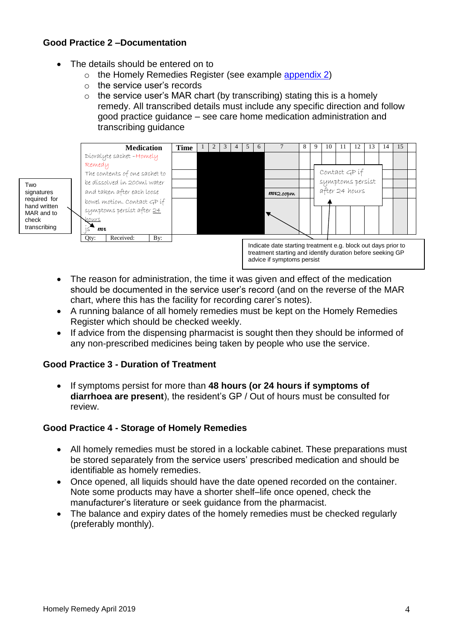# **Good Practice 2 –Documentation**

- The details should be entered on to
	- o the Homely Remedies Register (see example [appendix 2\)](#page-6-0)
	- o the service user's records
	- $\circ$  the service user's MAR chart (by transcribing) stating this is a homely remedy. All transcribed details must include any specific direction and follow good practice guidance – see care home medication administration and transcribing guidance

Two signatures required for hand written MAR and to check transcribing



- The reason for administration, the time it was given and effect of the medication should be documented in the service user's record (and on the reverse of the MAR chart, where this has the facility for recording carer's notes).
- A running balance of all homely remedies must be kept on the Homely Remedies Register which should be checked weekly.
- If advice from the dispensing pharmacist is sought then they should be informed of any non-prescribed medicines being taken by people who use the service.

# **Good Practice 3 - Duration of Treatment**

 If symptoms persist for more than **48 hours (or 24 hours if symptoms of diarrhoea are present**), the resident's GP / Out of hours must be consulted for review.

## **Good Practice 4 - Storage of Homely Remedies**

- All homely remedies must be stored in a lockable cabinet. These preparations must be stored separately from the service users' prescribed medication and should be identifiable as homely remedies.
- Once opened, all liquids should have the date opened recorded on the container. Note some products may have a shorter shelf–life once opened, check the manufacturer's literature or seek guidance from the pharmacist.
- The balance and expiry dates of the homely remedies must be checked regularly (preferably monthly).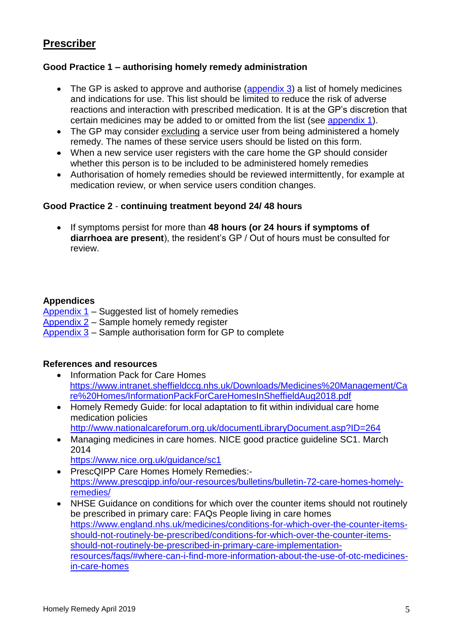# **Prescriber**

## **Good Practice 1 – authorising homely remedy administration**

- The GP is asked to approve and authorise [\(appendix](#page-10-0) 3) a list of homely medicines and indications for use. This list should be limited to reduce the risk of adverse reactions and interaction with prescribed medication. It is at the GP's discretion that certain medicines may be added to or omitted from the list (see [appendix 1\)](#page-5-0).
- The GP may consider excluding a service user from being administered a homely remedy. The names of these service users should be listed on this form.
- When a new service user registers with the care home the GP should consider whether this person is to be included to be administered homely remedies
- Authorisation of homely remedies should be reviewed intermittently, for example at medication review, or when service users condition changes.

## **Good Practice 2** - **continuing treatment beyond 24/ 48 hours**

 If symptoms persist for more than **48 hours (or 24 hours if symptoms of diarrhoea are present**), the resident's GP / Out of hours must be consulted for review.

## **Appendices**

## [Appendix](#page-5-0) 1 – Suggested list of homely remedies

- [Appendix 2](#page-6-0) Sample homely remedy register
- [Appendix 3](#page-10-0) Sample authorisation form for GP to complete

## **References and resources**

- Information Pack for Care Homes [https://www.intranet.sheffieldccg.nhs.uk/Downloads/Medicines%20Management/Ca](https://www.intranet.sheffieldccg.nhs.uk/Downloads/Medicines%20Management/Care%20Homes/InformationPackForCareHomesInSheffieldAug2018.pdf) [re%20Homes/InformationPackForCareHomesInSheffieldAug2018.pdf](https://www.intranet.sheffieldccg.nhs.uk/Downloads/Medicines%20Management/Care%20Homes/InformationPackForCareHomesInSheffieldAug2018.pdf)
- Homely Remedy Guide: for local adaptation to fit within individual care home medication policies

<http://www.nationalcareforum.org.uk/documentLibraryDocument.asp?ID=264>

 Managing medicines in care homes. NICE good practice guideline SC1. March 2014

<https://www.nice.org.uk/guidance/sc1>

- PrescQIPP Care Homes Homely Remedies:[https://www.prescqipp.info/our-resources/bulletins/bulletin-72-care-homes-homely](https://www.prescqipp.info/our-resources/bulletins/bulletin-72-care-homes-homely-remedies/)[remedies/](https://www.prescqipp.info/our-resources/bulletins/bulletin-72-care-homes-homely-remedies/)
- NHSE Guidance on conditions for which over the counter items should not routinely be prescribed in primary care: FAQs People living in care homes [https://www.england.nhs.uk/medicines/conditions-for-which-over-the-counter-items](https://www.england.nhs.uk/medicines/conditions-for-which-over-the-counter-items-should-not-routinely-be-prescribed/conditions-for-which-over-the-counter-items-should-not-routinely-be-prescribed-in-primary-care-implementation-resources/faqs/#where-can-i-find-more-information-about-the-use-of-otc-medicines-in-care-homes)[should-not-routinely-be-prescribed/conditions-for-which-over-the-counter-items](https://www.england.nhs.uk/medicines/conditions-for-which-over-the-counter-items-should-not-routinely-be-prescribed/conditions-for-which-over-the-counter-items-should-not-routinely-be-prescribed-in-primary-care-implementation-resources/faqs/#where-can-i-find-more-information-about-the-use-of-otc-medicines-in-care-homes)[should-not-routinely-be-prescribed-in-primary-care-implementation](https://www.england.nhs.uk/medicines/conditions-for-which-over-the-counter-items-should-not-routinely-be-prescribed/conditions-for-which-over-the-counter-items-should-not-routinely-be-prescribed-in-primary-care-implementation-resources/faqs/#where-can-i-find-more-information-about-the-use-of-otc-medicines-in-care-homes)[resources/faqs/#where-can-i-find-more-information-about-the-use-of-otc-medicines](https://www.england.nhs.uk/medicines/conditions-for-which-over-the-counter-items-should-not-routinely-be-prescribed/conditions-for-which-over-the-counter-items-should-not-routinely-be-prescribed-in-primary-care-implementation-resources/faqs/#where-can-i-find-more-information-about-the-use-of-otc-medicines-in-care-homes)[in-care-homes](https://www.england.nhs.uk/medicines/conditions-for-which-over-the-counter-items-should-not-routinely-be-prescribed/conditions-for-which-over-the-counter-items-should-not-routinely-be-prescribed-in-primary-care-implementation-resources/faqs/#where-can-i-find-more-information-about-the-use-of-otc-medicines-in-care-homes)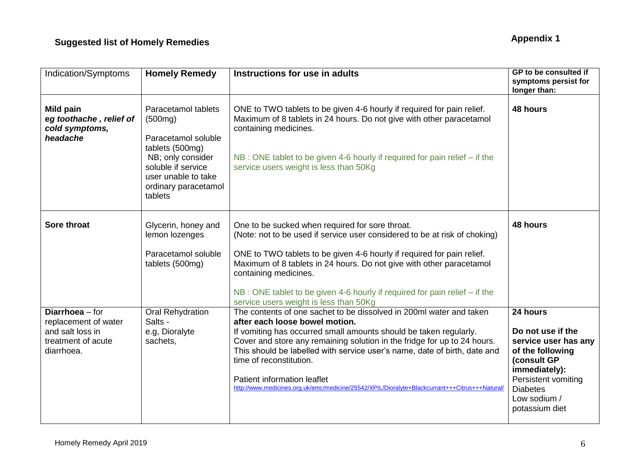<span id="page-5-0"></span>

| Indication/Symptoms                                   | <b>Homely Remedy</b>                                                                                                 | Instructions for use in adults                                                                                                                                          | GP to be consulted if<br>symptoms persist for |
|-------------------------------------------------------|----------------------------------------------------------------------------------------------------------------------|-------------------------------------------------------------------------------------------------------------------------------------------------------------------------|-----------------------------------------------|
| Mild pain                                             | Paracetamol tablets                                                                                                  | ONE to TWO tablets to be given 4-6 hourly if required for pain relief.                                                                                                  | longer than:<br>48 hours                      |
| eg toothache, relief of<br>cold symptoms,<br>headache | (500mg)<br>Paracetamol soluble                                                                                       | Maximum of 8 tablets in 24 hours. Do not give with other paracetamol<br>containing medicines.                                                                           |                                               |
|                                                       | tablets (500mg)<br>NB; only consider<br>soluble if service<br>user unable to take<br>ordinary paracetamol<br>tablets | NB : ONE tablet to be given 4-6 hourly if required for pain relief – if the<br>service users weight is less than 50Kg                                                   |                                               |
| <b>Sore throat</b>                                    | Glycerin, honey and                                                                                                  | One to be sucked when required for sore throat.                                                                                                                         | 48 hours                                      |
|                                                       | lemon lozenges                                                                                                       | (Note: not to be used if service user considered to be at risk of choking)                                                                                              |                                               |
|                                                       | Paracetamol soluble<br>tablets (500mg)                                                                               | ONE to TWO tablets to be given 4-6 hourly if required for pain relief.<br>Maximum of 8 tablets in 24 hours. Do not give with other paracetamol<br>containing medicines. |                                               |
|                                                       |                                                                                                                      | NB : ONE tablet to be given 4-6 hourly if required for pain relief – if the<br>service users weight is less than 50Kg                                                   |                                               |
| Diarrhoea - for<br>replacement of water               | <b>Oral Rehydration</b><br>Salts -                                                                                   | The contents of one sachet to be dissolved in 200ml water and taken<br>after each loose bowel motion.                                                                   | 24 hours                                      |
| and salt loss in                                      | e.g, Dioralyte                                                                                                       | If vomiting has occurred small amounts should be taken regularly.                                                                                                       | Do not use if the                             |
| treatment of acute<br>diarrhoea.                      | sachets,                                                                                                             | Cover and store any remaining solution in the fridge for up to 24 hours.<br>This should be labelled with service user's name, date of birth, date and                   | service user has any<br>of the following      |
|                                                       |                                                                                                                      | time of reconstitution.                                                                                                                                                 | (consult GP                                   |
|                                                       |                                                                                                                      | Patient information leaflet                                                                                                                                             | immediately):<br>Persistent vomiting          |
|                                                       |                                                                                                                      | http://www.medicines.org.uk/emc/medicine/25542/XPIL/Dioralyte+Blackcurrant+++Citrus+++Natural/                                                                          | <b>Diabetes</b>                               |
|                                                       |                                                                                                                      |                                                                                                                                                                         | Low sodium /<br>potassium diet                |
|                                                       |                                                                                                                      |                                                                                                                                                                         |                                               |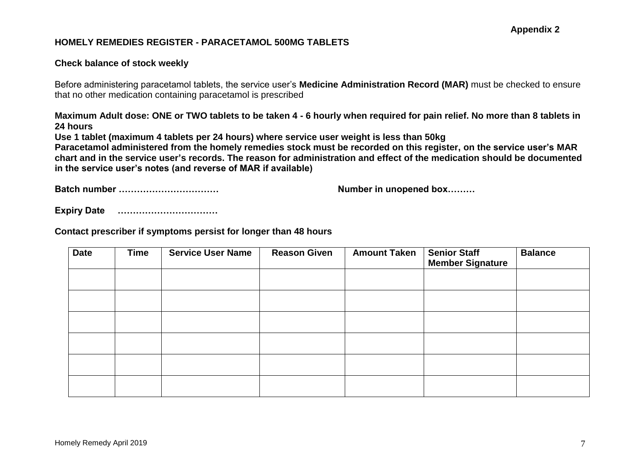### **HOMELY REMEDIES REGISTER - PARACETAMOL 500MG TABLETS**

#### **Check balance of stock weekly**

Before administering paracetamol tablets, the service user's **Medicine Administration Record (MAR)** must be checked to ensure that no other medication containing paracetamol is prescribed

**Maximum Adult dose: ONE or TWO tablets to be taken 4 - 6 hourly when required for pain relief. No more than 8 tablets in 24 hours**

**Use 1 tablet (maximum 4 tablets per 24 hours) where service user weight is less than 50kg**

**Paracetamol administered from the homely remedies stock must be recorded on this register, on the service user's MAR chart and in the service user's records. The reason for administration and effect of the medication should be documented in the service user's notes (and reverse of MAR if available)**

**Batch number …………………………… Number in unopened box………**

<span id="page-6-0"></span>

**Expiry Date ……………………………**

**Contact prescriber if symptoms persist for longer than 48 hours**

| <b>Date</b> | <b>Time</b> | <b>Service User Name</b> | <b>Reason Given</b> | <b>Amount Taken</b> | <b>Senior Staff</b><br><b>Member Signature</b> | <b>Balance</b> |
|-------------|-------------|--------------------------|---------------------|---------------------|------------------------------------------------|----------------|
|             |             |                          |                     |                     |                                                |                |
|             |             |                          |                     |                     |                                                |                |
|             |             |                          |                     |                     |                                                |                |
|             |             |                          |                     |                     |                                                |                |
|             |             |                          |                     |                     |                                                |                |
|             |             |                          |                     |                     |                                                |                |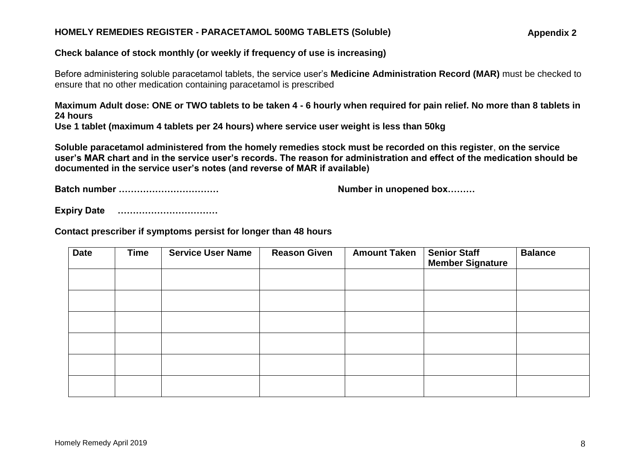#### **HOMELY REMEDIES REGISTER - PARACETAMOL 500MG TABLETS (Soluble)**

**Appendix 2**

#### **Check balance of stock monthly (or weekly if frequency of use is increasing)**

Before administering soluble paracetamol tablets, the service user's **Medicine Administration Record (MAR)** must be checked to ensure that no other medication containing paracetamol is prescribed

**Maximum Adult dose: ONE or TWO tablets to be taken 4 - 6 hourly when required for pain relief. No more than 8 tablets in 24 hours Use 1 tablet (maximum 4 tablets per 24 hours) where service user weight is less than 50kg**

**Soluble paracetamol administered from the homely remedies stock must be recorded on this register**, **on the service user's MAR chart and in the service user's records. The reason for administration and effect of the medication should be documented in the service user's notes (and reverse of MAR if available)**

**Batch number …………………………… Number in unopened box………**

**Expiry Date ……………………………**

**Contact prescriber if symptoms persist for longer than 48 hours**

| <b>Date</b> | <b>Time</b> | <b>Service User Name</b> | <b>Reason Given</b> | <b>Amount Taken</b> | <b>Senior Staff</b><br><b>Member Signature</b> | <b>Balance</b> |
|-------------|-------------|--------------------------|---------------------|---------------------|------------------------------------------------|----------------|
|             |             |                          |                     |                     |                                                |                |
|             |             |                          |                     |                     |                                                |                |
|             |             |                          |                     |                     |                                                |                |
|             |             |                          |                     |                     |                                                |                |
|             |             |                          |                     |                     |                                                |                |
|             |             |                          |                     |                     |                                                |                |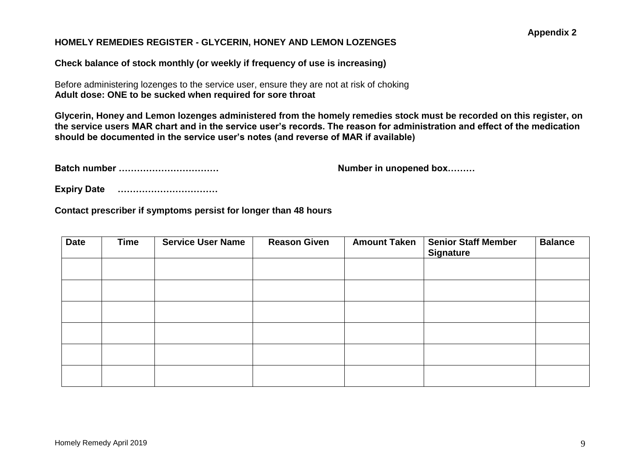### **HOMELY REMEDIES REGISTER - GLYCERIN, HONEY AND LEMON LOZENGES**

**Check balance of stock monthly (or weekly if frequency of use is increasing)**

Before administering lozenges to the service user, ensure they are not at risk of choking **Adult dose: ONE to be sucked when required for sore throat**

**Glycerin, Honey and Lemon lozenges administered from the homely remedies stock must be recorded on this register, on the service users MAR chart and in the service user's records. The reason for administration and effect of the medication should be documented in the service user's notes (and reverse of MAR if available)**

**Batch number …………………………… Number in unopened box………**

**Expiry Date ……………………………**

**Contact prescriber if symptoms persist for longer than 48 hours**

| <b>Date</b> | <b>Time</b> | <b>Service User Name</b> | <b>Reason Given</b> | <b>Amount Taken</b> | <b>Senior Staff Member</b><br><b>Signature</b> | <b>Balance</b> |
|-------------|-------------|--------------------------|---------------------|---------------------|------------------------------------------------|----------------|
|             |             |                          |                     |                     |                                                |                |
|             |             |                          |                     |                     |                                                |                |
|             |             |                          |                     |                     |                                                |                |
|             |             |                          |                     |                     |                                                |                |
|             |             |                          |                     |                     |                                                |                |
|             |             |                          |                     |                     |                                                |                |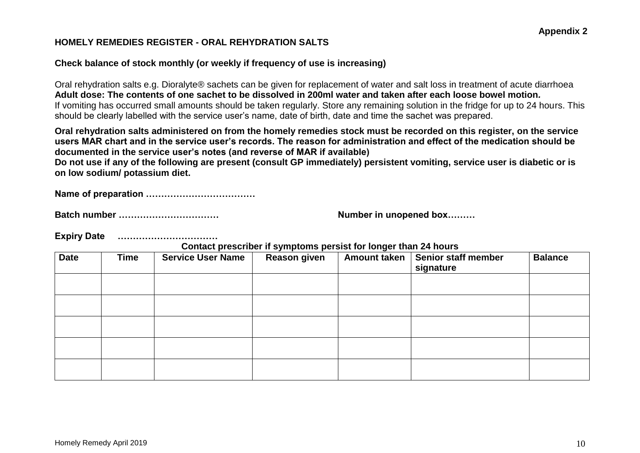#### **HOMELY REMEDIES REGISTER - ORAL REHYDRATION SALTS**

### **Check balance of stock monthly (or weekly if frequency of use is increasing)**

Oral rehydration salts e.g. Dioralyte® sachets can be given for replacement of water and salt loss in treatment of acute diarrhoea **Adult dose: The contents of one sachet to be dissolved in 200ml water and taken after each loose bowel motion***.* If vomiting has occurred small amounts should be taken regularly. Store any remaining solution in the fridge for up to 24 hours. This should be clearly labelled with the service user's name, date of birth, date and time the sachet was prepared.

**Oral rehydration salts administered on from the homely remedies stock must be recorded on this register, on the service users MAR chart and in the service user's records. The reason for administration and effect of the medication should be documented in the service user's notes (and reverse of MAR if available)**

**Do not use if any of the following are present (consult GP immediately) persistent vomiting, service user is diabetic or is on low sodium/ potassium diet.**

**Name of preparation ………………………………**

**Batch number …………………………… Number in unopened box………**

**Expiry Date ……………………………**

**Contact prescriber if symptoms persist for longer than 24 hours**

| <b>Date</b> | <b>Time</b> | <b>Service User Name</b> | <b>Reason given</b> | $\tilde{\phantom{a}}$<br><b>Amount taken</b> | Senior staff member<br>signature | <b>Balance</b> |
|-------------|-------------|--------------------------|---------------------|----------------------------------------------|----------------------------------|----------------|
|             |             |                          |                     |                                              |                                  |                |
|             |             |                          |                     |                                              |                                  |                |
|             |             |                          |                     |                                              |                                  |                |
|             |             |                          |                     |                                              |                                  |                |
|             |             |                          |                     |                                              |                                  |                |